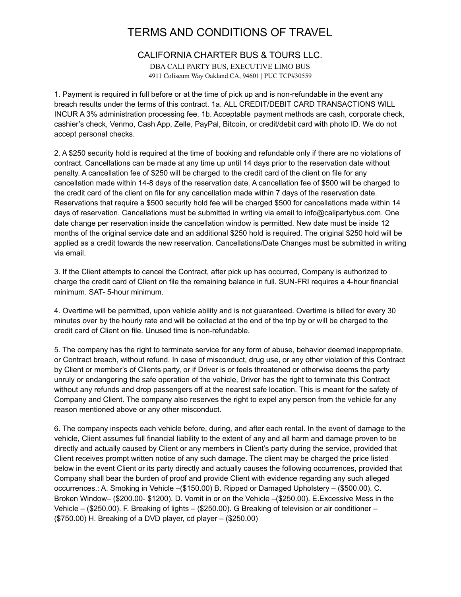## TERMS AND CONDITIONS OF TRAVEL

## CALIFORNIA CHARTER BUS & TOURS LLC.

DBA CALI PARTY BUS, EXECUTIVE LIMO BUS 4911 Coliseum Way Oakland CA, 94601 | PUC TCP#30559

1. Payment is required in full before or at the time of pick up and is non-refundable in the event any breach results under the terms of this contract. 1a. ALL CREDIT/DEBIT CARD TRANSACTIONS WILL INCUR A 3% administration processing fee. 1b. Acceptable payment methods are cash, corporate check, cashier's check, Venmo, Cash App, Zelle, PayPal, Bitcoin, or credit/debit card with photo ID. We do not accept personal checks.

2. A \$250 security hold is required at the time of booking and refundable only if there are no violations of contract. Cancellations can be made at any time up until 14 days prior to the reservation date without penalty. A cancellation fee of \$250 will be charged to the credit card of the client on file for any cancellation made within 14-8 days of the reservation date. A cancellation fee of \$500 will be charged to the credit card of the client on file for any cancellation made within 7 days of the reservation date. Reservations that require a \$500 security hold fee will be charged \$500 for cancellations made within 14 days of reservation. Cancellations must be submitted in writing via email to info@calipartybus.com. One date change per reservation inside the cancellation window is permitted. New date must be inside 12 months of the original service date and an additional \$250 hold is required. The original \$250 hold will be applied as a credit towards the new reservation. Cancellations/Date Changes must be submitted in writing via email.

3. If the Client attempts to cancel the Contract, after pick up has occurred, Company is authorized to charge the credit card of Client on file the remaining balance in full. SUN-FRI requires a 4-hour financial minimum. SAT- 5-hour minimum.

4. Overtime will be permitted, upon vehicle ability and is not guaranteed. Overtime is billed for every 30 minutes over by the hourly rate and will be collected at the end of the trip by or will be charged to the credit card of Client on file. Unused time is non-refundable.

5. The company has the right to terminate service for any form of abuse, behavior deemed inappropriate, or Contract breach, without refund. In case of misconduct, drug use, or any other violation of this Contract by Client or member's of Clients party, or if Driver is or feels threatened or otherwise deems the party unruly or endangering the safe operation of the vehicle, Driver has the right to terminate this Contract without any refunds and drop passengers off at the nearest safe location. This is meant for the safety of Company and Client. The company also reserves the right to expel any person from the vehicle for any reason mentioned above or any other misconduct.

6. The company inspects each vehicle before, during, and after each rental. In the event of damage to the vehicle, Client assumes full financial liability to the extent of any and all harm and damage proven to be directly and actually caused by Client or any members in Client's party during the service, provided that Client receives prompt written notice of any such damage. The client may be charged the price listed below in the event Client or its party directly and actually causes the following occurrences, provided that Company shall bear the burden of proof and provide Client with evidence regarding any such alleged occurrences.: A. Smoking in Vehicle –(\$150.00) B. Ripped or Damaged Upholstery – (\$500.00). C. Broken Window– (\$200.00- \$1200). D. Vomit in or on the Vehicle –(\$250.00). E.Excessive Mess in the Vehicle – (\$250.00). F. Breaking of lights – (\$250.00). G Breaking of television or air conditioner – (\$750.00) H. Breaking of a DVD player, cd player – (\$250.00)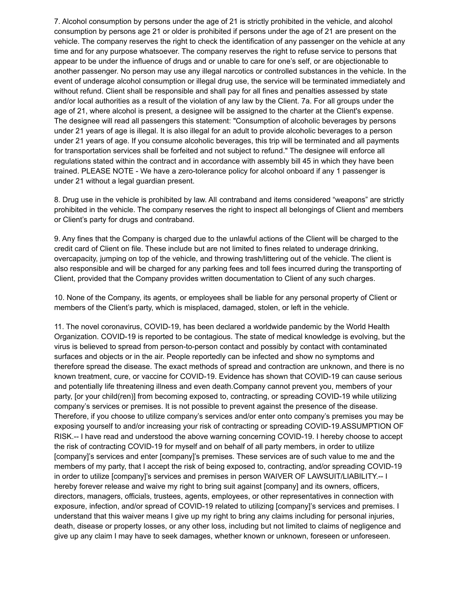7. Alcohol consumption by persons under the age of 21 is strictly prohibited in the vehicle, and alcohol consumption by persons age 21 or older is prohibited if persons under the age of 21 are present on the vehicle. The company reserves the right to check the identification of any passenger on the vehicle at any time and for any purpose whatsoever. The company reserves the right to refuse service to persons that appear to be under the influence of drugs and or unable to care for one's self, or are objectionable to another passenger. No person may use any illegal narcotics or controlled substances in the vehicle. In the event of underage alcohol consumption or illegal drug use, the service will be terminated immediately and without refund. Client shall be responsible and shall pay for all fines and penalties assessed by state and/or local authorities as a result of the violation of any law by the Client. 7a. For all groups under the age of 21, where alcohol is present, a designee will be assigned to the charter at the Client's expense. The designee will read all passengers this statement: "Consumption of alcoholic beverages by persons under 21 years of age is illegal. It is also illegal for an adult to provide alcoholic beverages to a person under 21 years of age. If you consume alcoholic beverages, this trip will be terminated and all payments for transportation services shall be forfeited and not subject to refund." The designee will enforce all regulations stated within the contract and in accordance with assembly bill 45 in which they have been trained. PLEASE NOTE - We have a zero-tolerance policy for alcohol onboard if any 1 passenger is under 21 without a legal guardian present.

8. Drug use in the vehicle is prohibited by law. All contraband and items considered "weapons" are strictly prohibited in the vehicle. The company reserves the right to inspect all belongings of Client and members or Client's party for drugs and contraband.

9. Any fines that the Company is charged due to the unlawful actions of the Client will be charged to the credit card of Client on file. These include but are not limited to fines related to underage drinking, overcapacity, jumping on top of the vehicle, and throwing trash/littering out of the vehicle. The client is also responsible and will be charged for any parking fees and toll fees incurred during the transporting of Client, provided that the Company provides written documentation to Client of any such charges.

10. None of the Company, its agents, or employees shall be liable for any personal property of Client or members of the Client's party, which is misplaced, damaged, stolen, or left in the vehicle.

11. The novel coronavirus, COVID-19, has been declared a worldwide pandemic by the World Health Organization. COVID-19 is reported to be contagious. The state of medical knowledge is evolving, but the virus is believed to spread from person-to-person contact and possibly by contact with contaminated surfaces and objects or in the air. People reportedly can be infected and show no symptoms and therefore spread the disease. The exact methods of spread and contraction are unknown, and there is no known treatment, cure, or vaccine for COVID-19. Evidence has shown that COVID-19 can cause serious and potentially life threatening illness and even death.Company cannot prevent you, members of your party, [or your child(ren)] from becoming exposed to, contracting, or spreading COVID-19 while utilizing company's services or premises. It is not possible to prevent against the presence of the disease. Therefore, if you choose to utilize company's services and/or enter onto company's premises you may be exposing yourself to and/or increasing your risk of contracting or spreading COVID-19.ASSUMPTION OF RISK.-- I have read and understood the above warning concerning COVID-19. I hereby choose to accept the risk of contracting COVID-19 for myself and on behalf of all party members, in order to utilize [company]'s services and enter [company]'s premises. These services are of such value to me and the members of my party, that I accept the risk of being exposed to, contracting, and/or spreading COVID-19 in order to utilize [company]'s services and premises in person WAIVER OF LAWSUIT/LIABILITY.-- I hereby forever release and waive my right to bring suit against [company] and its owners, officers, directors, managers, officials, trustees, agents, employees, or other representatives in connection with exposure, infection, and/or spread of COVID-19 related to utilizing [company]'s services and premises. I understand that this waiver means I give up my right to bring any claims including for personal injuries, death, disease or property losses, or any other loss, including but not limited to claims of negligence and give up any claim I may have to seek damages, whether known or unknown, foreseen or unforeseen.